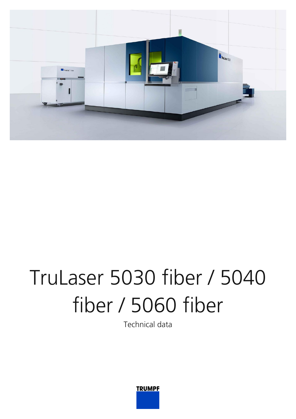

## TruLaser 5030 fiber / 5040 fiber / 5060 fiber

Technical data

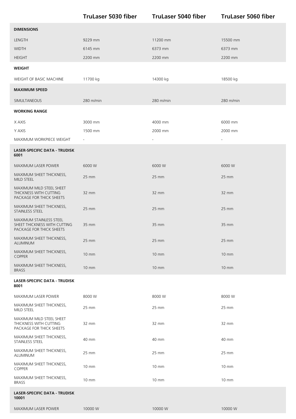|                                                                                     | <b>TruLaser 5030 fiber</b> | <b>TruLaser 5040 fiber</b> | <b>TruLaser 5060 fiber</b> |
|-------------------------------------------------------------------------------------|----------------------------|----------------------------|----------------------------|
| <b>DIMENSIONS</b>                                                                   |                            |                            |                            |
| LENGTH                                                                              | 9229 mm                    | 11200 mm                   | 15500 mm                   |
| <b>WIDTH</b>                                                                        | 6145 mm                    | 6373 mm                    | 6373 mm                    |
| <b>HEIGHT</b>                                                                       | 2200 mm                    | 2200 mm                    | 2200 mm                    |
| <b>WEIGHT</b>                                                                       |                            |                            |                            |
| WEIGHT OF BASIC MACHINE                                                             | 11700 kg                   | 14300 kg                   | 18500 kg                   |
| <b>MAXIMUM SPEED</b>                                                                |                            |                            |                            |
| SIMULTANEOUS                                                                        | 280 m/min                  | 280 m/min                  | $280$ m/min                |
| <b>WORKING RANGE</b>                                                                |                            |                            |                            |
| X AXIS                                                                              | 3000 mm                    | 4000 mm                    | 6000 mm                    |
| Y AXIS                                                                              | 1500 mm                    | 2000 mm                    | 2000 mm                    |
| MAXIMUM WORKPIECE WEIGHT                                                            | $\overline{\phantom{a}}$   |                            |                            |
| <b>LASER-SPECIFIC DATA - TRUDISK</b><br>6001                                        |                            |                            |                            |
| <b>MAXIMUM LASER POWER</b>                                                          | 6000 W                     | 6000 W                     | 6000 W                     |
| MAXIMUM SHEET THICKNESS,<br>MILD STEEL                                              | $25 \, \text{mm}$          | 25 mm                      | $25 \, \text{mm}$          |
| MAXIMUM MILD STEEL SHEET<br>THICKNESS WITH CUTTING<br>PACKAGE FOR THICK SHEETS      | 32 mm                      | $32 \, \text{mm}$          | 32 mm                      |
| MAXIMUM SHEET THICKNESS,<br>STAINLESS STEEL                                         | $25 \, \text{mm}$          | 25 mm                      | $25$ mm                    |
| MAXIMUM STAINLESS STEEL<br>SHEET THICKNESS WITH CUTTING<br>PACKAGE FOR THICK SHEETS | 35 mm                      | 35 mm                      | 35 mm                      |
| MAXIMUM SHEET THICKNESS,<br>ALUMINUM                                                | 25 mm                      | 25 mm                      | 25 mm                      |
| MAXIMUM SHEET THICKNESS,<br>COPPER                                                  | $10 \, \text{mm}$          | $10 \text{ mm}$            | $10 \text{ mm}$            |
| MAXIMUM SHEET THICKNESS,<br><b>BRASS</b>                                            | $10 \, \text{mm}$          | 10 mm                      | $10 \, \text{mm}$          |
| <b>LASER-SPECIFIC DATA - TRUDISK</b><br>8001                                        |                            |                            |                            |
| MAXIMUM LASER POWER                                                                 | 8000 W                     | 8000 W                     | 8000W                      |
| MAXIMUM SHEET THICKNESS,<br>MILD STEEL                                              | 25 mm                      | 25 mm                      | 25 mm                      |
| MAXIMUM MILD STEEL SHEET<br>THICKNESS WITH CUTTING<br>PACKAGE FOR THICK SHEETS      | 32 mm                      | 32 mm                      | 32 mm                      |
| MAXIMUM SHEET THICKNESS,<br>STAINLESS STEEL                                         | 40 mm                      | 40 mm                      | 40 mm                      |
| MAXIMUM SHEET THICKNESS,<br>ALUMINUM                                                | 25 mm                      | 25 mm                      | 25 mm                      |
| MAXIMUM SHEET THICKNESS,<br>COPPER                                                  | $10 \, \text{mm}$          | 10 mm                      | 10 mm                      |
| MAXIMUM SHEET THICKNESS,<br><b>BRASS</b>                                            | $10 \, \text{mm}$          | 10 mm                      | 10 mm                      |
| <b>LASER-SPECIFIC DATA - TRUDISK</b><br>10001                                       |                            |                            |                            |
| MAXIMUM LASER POWER                                                                 | 10000 W                    | 10000 W                    | 10000W                     |
|                                                                                     |                            |                            |                            |